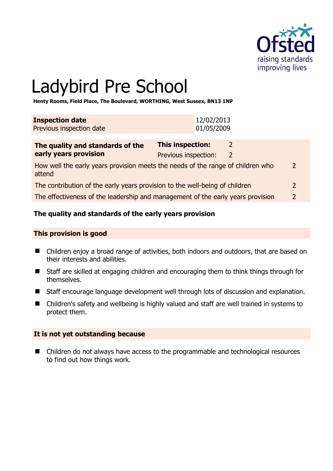

# Ladybird Pre School

**Henty Rooms, Field Place, The Boulevard, WORTHING, West Sussex, BN13 1NP** 

| <b>Inspection date</b><br>Previous inspection date                              |                                                 | 12/02/2013<br>01/05/2009 |                                |
|---------------------------------------------------------------------------------|-------------------------------------------------|--------------------------|--------------------------------|
| The quality and standards of the<br>early years provision                       | <b>This inspection:</b><br>Previous inspection: |                          | $\mathcal{L}$<br>$\mathcal{L}$ |
| How well the early years provision meets the needs of the range of children who |                                                 |                          |                                |

attend 2

The contribution of the early years provision to the well-being of children 2

The effectiveness of the leadership and management of the early years provision 2

## **The quality and standards of the early years provision**

#### **This provision is good**

- Children enjoy a broad range of activities, both indoors and outdoors, that are based on their interests and abilities.
- Staff are skilled at engaging children and encouraging them to think things through for themselves.
- Staff encourage language development well through lots of discussion and explanation.
- Children's safety and wellbeing is highly valued and staff are well trained in systems to protect them.

## **It is not yet outstanding because**

■ Children do not always have access to the programmable and technological resources to find out how things work.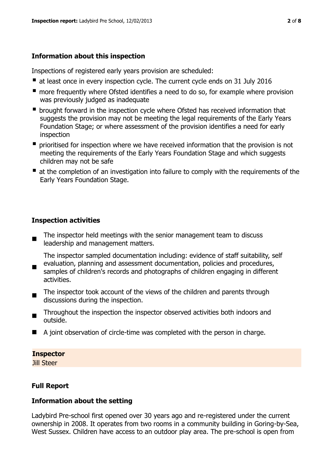## **Information about this inspection**

Inspections of registered early years provision are scheduled:

- at least once in every inspection cycle. The current cycle ends on 31 July 2016
- **n** more frequently where Ofsted identifies a need to do so, for example where provision was previously judged as inadequate
- **•** brought forward in the inspection cycle where Ofsted has received information that suggests the provision may not be meeting the legal requirements of the Early Years Foundation Stage; or where assessment of the provision identifies a need for early inspection
- **P** prioritised for inspection where we have received information that the provision is not meeting the requirements of the Early Years Foundation Stage and which suggests children may not be safe
- at the completion of an investigation into failure to comply with the requirements of the Early Years Foundation Stage.

# **Inspection activities**

 $\blacksquare$ The inspector held meetings with the senior management team to discuss leadership and management matters.

The inspector sampled documentation including: evidence of staff suitability, self evaluation, planning and assessment documentation, policies and procedures,

- $\blacksquare$ samples of children's records and photographs of children engaging in different activities.
- The inspector took account of the views of the children and parents through discussions during the inspection.
- Throughout the inspection the inspector observed activities both indoors and outside.
- A joint observation of circle-time was completed with the person in charge.

## **Inspector**

Jill Steer

# **Full Report**

## **Information about the setting**

Ladybird Pre-school first opened over 30 years ago and re-registered under the current ownership in 2008. It operates from two rooms in a community building in Goring-by-Sea, West Sussex. Children have access to an outdoor play area. The pre-school is open from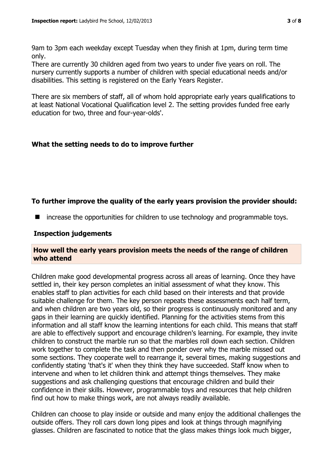9am to 3pm each weekday except Tuesday when they finish at 1pm, during term time only.

There are currently 30 children aged from two years to under five years on roll. The nursery currently supports a number of children with special educational needs and/or disabilities. This setting is registered on the Early Years Register.

There are six members of staff, all of whom hold appropriate early years qualifications to at least National Vocational Qualification level 2. The setting provides funded free early education for two, three and four-year-olds'.

# **What the setting needs to do to improve further**

# **To further improve the quality of the early years provision the provider should:**

■ increase the opportunities for children to use technology and programmable toys.

## **Inspection judgements**

## **How well the early years provision meets the needs of the range of children who attend**

Children make good developmental progress across all areas of learning. Once they have settled in, their key person completes an initial assessment of what they know. This enables staff to plan activities for each child based on their interests and that provide suitable challenge for them. The key person repeats these assessments each half term, and when children are two years old, so their progress is continuously monitored and any gaps in their learning are quickly identified. Planning for the activities stems from this information and all staff know the learning intentions for each child. This means that staff are able to effectively support and encourage children's learning. For example, they invite children to construct the marble run so that the marbles roll down each section. Children work together to complete the task and then ponder over why the marble missed out some sections. They cooperate well to rearrange it, several times, making suggestions and confidently stating 'that's it' when they think they have succeeded. Staff know when to intervene and when to let children think and attempt things themselves. They make suggestions and ask challenging questions that encourage children and build their confidence in their skills. However, programmable toys and resources that help children find out how to make things work, are not always readily available.

Children can choose to play inside or outside and many enjoy the additional challenges the outside offers. They roll cars down long pipes and look at things through magnifying glasses. Children are fascinated to notice that the glass makes things look much bigger,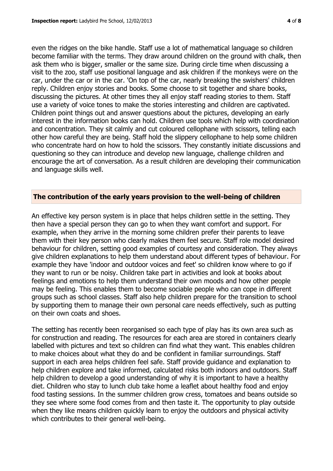even the ridges on the bike handle. Staff use a lot of mathematical language so children become familiar with the terms. They draw around children on the ground with chalk, then ask them who is bigger, smaller or the same size. During circle time when discussing a visit to the zoo, staff use positional language and ask children if the monkeys were on the car, under the car or in the car. 'On top of the car, nearly breaking the swishers' children reply. Children enjoy stories and books. Some choose to sit together and share books, discussing the pictures. At other times they all enjoy staff reading stories to them. Staff use a variety of voice tones to make the stories interesting and children are captivated. Children point things out and answer questions about the pictures, developing an early interest in the information books can hold. Children use tools which help with coordination and concentration. They sit calmly and cut coloured cellophane with scissors, telling each other how careful they are being. Staff hold the slippery cellophane to help some children who concentrate hard on how to hold the scissors. They constantly initiate discussions and questioning so they can introduce and develop new language, challenge children and encourage the art of conversation. As a result children are developing their communication and language skills well.

## **The contribution of the early years provision to the well-being of children**

An effective key person system is in place that helps children settle in the setting. They then have a special person they can go to when they want comfort and support. For example, when they arrive in the morning some children prefer their parents to leave them with their key person who clearly makes them feel secure. Staff role model desired behaviour for children, setting good examples of courtesy and consideration. They always give children explanations to help them understand about different types of behaviour. For example they have 'indoor and outdoor voices and feet' so children know where to go if they want to run or be noisy. Children take part in activities and look at books about feelings and emotions to help them understand their own moods and how other people may be feeling. This enables them to become sociable people who can cope in different groups such as school classes. Staff also help children prepare for the transition to school by supporting them to manage their own personal care needs effectively, such as putting on their own coats and shoes.

The setting has recently been reorganised so each type of play has its own area such as for construction and reading. The resources for each area are stored in containers clearly labelled with pictures and text so children can find what they want. This enables children to make choices about what they do and be confident in familiar surroundings. Staff support in each area helps children feel safe. Staff provide guidance and explanation to help children explore and take informed, calculated risks both indoors and outdoors. Staff help children to develop a good understanding of why it is important to have a healthy diet. Children who stay to lunch club take home a leaflet about healthy food and enjoy food tasting sessions. In the summer children grow cress, tomatoes and beans outside so they see where some food comes from and then taste it. The opportunity to play outside when they like means children quickly learn to enjoy the outdoors and physical activity which contributes to their general well-being.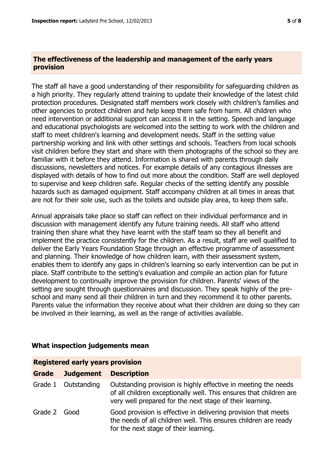## **The effectiveness of the leadership and management of the early years provision**

The staff all have a good understanding of their responsibility for safeguarding children as a high priority. They regularly attend training to update their knowledge of the latest child protection procedures. Designated staff members work closely with children's families and other agencies to protect children and help keep them safe from harm. All children who need intervention or additional support can access it in the setting. Speech and language and educational psychologists are welcomed into the setting to work with the children and staff to meet children's learning and development needs. Staff in the setting value partnership working and link with other settings and schools. Teachers from local schools visit children before they start and share with them photographs of the school so they are familiar with it before they attend. Information is shared with parents through daily discussions, newsletters and notices. For example details of any contagious illnesses are displayed with details of how to find out more about the condition. Staff are well deployed to supervise and keep children safe. Regular checks of the setting identify any possible hazards such as damaged equipment. Staff accompany children at all times in areas that are not for their sole use, such as the toilets and outside play area, to keep them safe.

Annual appraisals take place so staff can reflect on their individual performance and in discussion with management identify any future training needs. All staff who attend training then share what they have learnt with the staff team so they all benefit and implement the practice consistently for the children. As a result, staff are well qualified to deliver the Early Years Foundation Stage through an effective programme of assessment and planning. Their knowledge of how children learn, with their assessment system, enables them to identify any gaps in children's learning so early intervention can be put in place. Staff contribute to the setting's evaluation and compile an action plan for future development to continually improve the provision for children. Parents' views of the setting are sought through questionnaires and discussion. They speak highly of the preschool and many send all their children in turn and they recommend it to other parents. Parents value the information they receive about what their children are doing so they can be involved in their learning, as well as the range of activities available.

| <b>Registered early years provision</b> |                  |                                                                                                                                                                                                  |  |  |  |
|-----------------------------------------|------------------|--------------------------------------------------------------------------------------------------------------------------------------------------------------------------------------------------|--|--|--|
| Grade                                   | <b>Judgement</b> | <b>Description</b>                                                                                                                                                                               |  |  |  |
| Grade 1                                 | Outstanding      | Outstanding provision is highly effective in meeting the needs<br>of all children exceptionally well. This ensures that children are<br>very well prepared for the next stage of their learning. |  |  |  |
| Grade 2 Good                            |                  | Good provision is effective in delivering provision that meets<br>the needs of all children well. This ensures children are ready<br>for the next stage of their learning.                       |  |  |  |

## **What inspection judgements mean**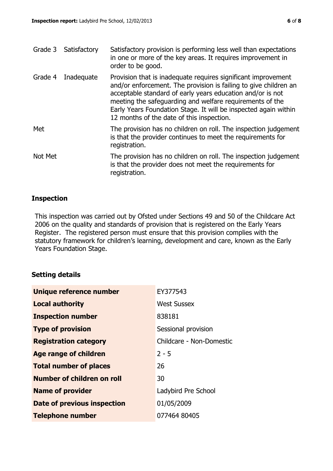|         | Grade 3 Satisfactory | Satisfactory provision is performing less well than expectations<br>in one or more of the key areas. It requires improvement in<br>order to be good.                                                                                                                                                                                                                        |
|---------|----------------------|-----------------------------------------------------------------------------------------------------------------------------------------------------------------------------------------------------------------------------------------------------------------------------------------------------------------------------------------------------------------------------|
| Grade 4 | Inadequate           | Provision that is inadequate requires significant improvement<br>and/or enforcement. The provision is failing to give children an<br>acceptable standard of early years education and/or is not<br>meeting the safeguarding and welfare requirements of the<br>Early Years Foundation Stage. It will be inspected again within<br>12 months of the date of this inspection. |
| Met     |                      | The provision has no children on roll. The inspection judgement<br>is that the provider continues to meet the requirements for<br>registration.                                                                                                                                                                                                                             |
| Not Met |                      | The provision has no children on roll. The inspection judgement<br>is that the provider does not meet the requirements for                                                                                                                                                                                                                                                  |

# **Inspection**

This inspection was carried out by Ofsted under Sections 49 and 50 of the Childcare Act 2006 on the quality and standards of provision that is registered on the Early Years Register. The registered person must ensure that this provision complies with the statutory framework for children's learning, development and care, known as the Early Years Foundation Stage.

## **Setting details**

| Unique reference number           | EY377543                 |
|-----------------------------------|--------------------------|
| <b>Local authority</b>            | <b>West Sussex</b>       |
| <b>Inspection number</b>          | 838181                   |
| <b>Type of provision</b>          | Sessional provision      |
| <b>Registration category</b>      | Childcare - Non-Domestic |
| <b>Age range of children</b>      | $2 - 5$                  |
| <b>Total number of places</b>     | 26                       |
| <b>Number of children on roll</b> | 30                       |
| <b>Name of provider</b>           | Ladybird Pre School      |
| Date of previous inspection       | 01/05/2009               |
| <b>Telephone number</b>           | 077464 80405             |

registration.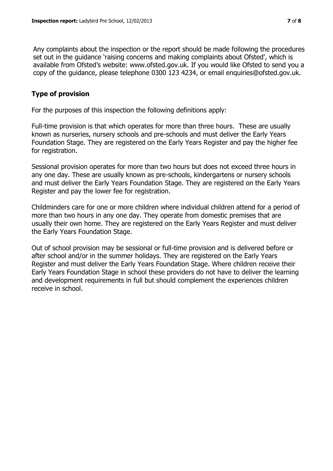Any complaints about the inspection or the report should be made following the procedures set out in the guidance 'raising concerns and making complaints about Ofsted', which is available from Ofsted's website: www.ofsted.gov.uk. If you would like Ofsted to send you a copy of the guidance, please telephone 0300 123 4234, or email enquiries@ofsted.gov.uk.

## **Type of provision**

For the purposes of this inspection the following definitions apply:

Full-time provision is that which operates for more than three hours. These are usually known as nurseries, nursery schools and pre-schools and must deliver the Early Years Foundation Stage. They are registered on the Early Years Register and pay the higher fee for registration.

Sessional provision operates for more than two hours but does not exceed three hours in any one day. These are usually known as pre-schools, kindergartens or nursery schools and must deliver the Early Years Foundation Stage. They are registered on the Early Years Register and pay the lower fee for registration.

Childminders care for one or more children where individual children attend for a period of more than two hours in any one day. They operate from domestic premises that are usually their own home. They are registered on the Early Years Register and must deliver the Early Years Foundation Stage.

Out of school provision may be sessional or full-time provision and is delivered before or after school and/or in the summer holidays. They are registered on the Early Years Register and must deliver the Early Years Foundation Stage. Where children receive their Early Years Foundation Stage in school these providers do not have to deliver the learning and development requirements in full but should complement the experiences children receive in school.